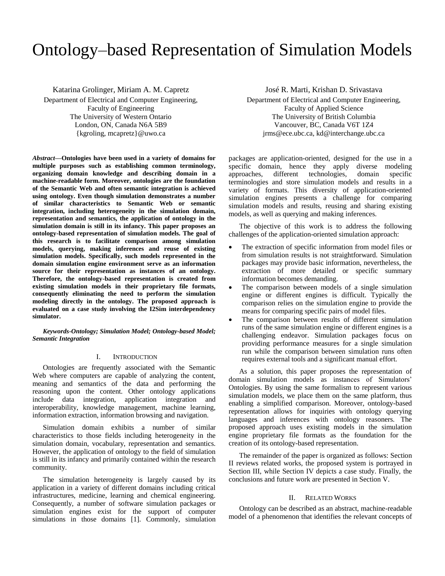# Ontology–based Representation of Simulation Models

Katarina Grolinger, Miriam A. M. Capretz

Department of Electrical and Computer Engineering, Faculty of Engineering The University of Western Ontario London, ON, Canada N6A 5B9 {kgroling, mcapretz}@uwo.ca

*Abstract***—Ontologies have been used in a variety of domains for multiple purposes such as establishing common terminology, organizing domain knowledge and describing domain in a machine-readable form. Moreover, ontologies are the foundation of the Semantic Web and often semantic integration is achieved using ontology. Even though simulation demonstrates a number of similar characteristics to Semantic Web or semantic integration, including heterogeneity in the simulation domain, representation and semantics, the application of ontology in the simulation domain is still in its infancy. This paper proposes an ontology-based representation of simulation models. The goal of this research is to facilitate comparison among simulation models, querying, making inferences and reuse of existing simulation models. Specifically, such models represented in the domain simulation engine environment serve as an information source for their representation as instances of an ontology. Therefore, the ontology-based representation is created from existing simulation models in their proprietary file formats, consequently eliminating the need to perform the simulation modeling directly in the ontology. The proposed approach is evaluated on a case study involving the I2Sim interdependency simulator.**

*Keywords-Ontology; Simulation Model; Ontology-based Model; Semantic Integration*

# I. INTRODUCTION

Ontologies are frequently associated with the Semantic Web where computers are capable of analyzing the content, meaning and semantics of the data and performing the reasoning upon the content. Other ontology applications include data integration, application integration and interoperability, knowledge management, machine learning, information extraction, information browsing and navigation.

Simulation domain exhibits a number of similar characteristics to those fields including heterogeneity in the simulation domain, vocabulary, representation and semantics. However, the application of ontology to the field of simulation is still in its infancy and primarily contained within the research community.

The simulation heterogeneity is largely caused by its application in a variety of different domains including critical infrastructures, medicine, learning and chemical engineering. Consequently, a number of software simulation packages or simulation engines exist for the support of computer simulations in those domains [1]. Commonly, simulation

José R. Marti, Krishan D. Srivastava Department of Electrical and Computer Engineering, Faculty of Applied Science The University of British Columbia Vancouver, BC, Canada V6T 1Z4 jrms@ece.ubc.ca, kd@interchange.ubc.ca

packages are application-oriented, designed for the use in a specific domain, hence they apply diverse modeling approaches, different technologies, domain specific terminologies and store simulation models and results in a variety of formats. This diversity of application-oriented simulation engines presents a challenge for comparing simulation models and results, reusing and sharing existing models, as well as querying and making inferences.

The objective of this work is to address the following challenges of the application-oriented simulation approach:

- The extraction of specific information from model files or from simulation results is not straightforward. Simulation packages may provide basic information, nevertheless, the extraction of more detailed or specific summary information becomes demanding.
- The comparison between models of a single simulation engine or different engines is difficult. Typically the comparison relies on the simulation engine to provide the means for comparing specific pairs of model files.
- The comparison between results of different simulation runs of the same simulation engine or different engines is a challenging endeavor. Simulation packages focus on providing performance measures for a single simulation run while the comparison between simulation runs often requires external tools and a significant manual effort.

As a solution, this paper proposes the representation of domain simulation models as instances of Simulators' Ontologies. By using the same formalism to represent various simulation models, we place them on the same platform, thus enabling a simplified comparison. Moreover, ontology-based representation allows for inquiries with ontology querying languages and inferences with ontology reasoners. The proposed approach uses existing models in the simulation engine proprietary file formats as the foundation for the creation of its ontology-based representation.

The remainder of the paper is organized as follows: Section II reviews related works, the proposed system is portrayed in Section III, while Section IV depicts a case study. Finally, the conclusions and future work are presented in Section V.

# II. RELATED WORKS

Ontology can be described as an abstract, machine-readable model of a phenomenon that identifies the relevant concepts of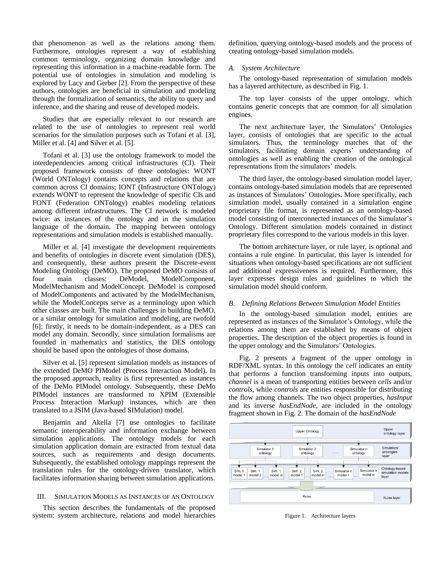that phenomenon as well as the relations among them. Furthermore, ontologies represent a way of establishing common terminology, organizing domain knowledge and representing this information in a machine-readable form. The potential use of ontologies in simulation and modeling is explored by Lacy and Gerber [2]. From the perspective of these authors, ontologies are beneficial in simulation and modeling through the formalization of semantics, the ability to query and inference, and the sharing and reuse of developed models.

Studies that are especially relevant to our research are related to the use of ontologies to represent real world scenarios for the simulation purposes such as Tofani et al. [3], Miller et al. [4] and Silver et al. [5].

Tofani et al. [3] use the ontology framework to model the interdependencies among critical infrastructures (CI). Their proposed framework consists of three ontologies: WONT (World ONTology) contains concepts and relations that are common across CI domains; IONT (Infrastructure ONTology) extends WONT to represent the knowledge of specific CIs and FONT (Federation ONTology) enables modeling relations among different infrastructures. The CI network is modeled twice: as instances of the ontology and in the simulation language of the domain. The mapping between ontology representations and simulation models is established manually.

Miller et al. [4] investigate the development requirements and benefits of ontologies in discrete event simulation (DES), and consequently, these authors present the Discrete-event Modeling Ontology (DeMO). The proposed DeMO consists of four main classes: DeModel, ModelComponent, ModelMechanism and ModelConcept. DeModel is composed of ModelComponents and activated by the ModelMechanism, while the ModelConcepts serve as a terminology upon which other classes are built. The main challenges in building DeMO, or a similar ontology for simulation and modeling, are twofold [6]; firstly, it needs to be domain-independent, as a DES can model any domain. Secondly, since simulation formalisms are founded in mathematics and statistics, the DES ontology should be based upon the ontologies of those domains.

Silver et al. [5] represent simulation models as instances of the extended DeMO PIModel (Process Interaction Model). In the proposed approach, reality is first represented as instances of the DeMo PIModel ontology. Subsequently, these DeMo PIModel instances are transformed to XPIM (Extensible Process Interaction Markup) instances, which are then translated to a JSIM (Java-based SIMulation) model.

Benjamin and Akella [7] use ontologies to facilitate semantic interoperability and information exchange between simulation applications. The ontology models for each simulation application domain are extracted from textual data sources, such as requirements and design documents. Subsequently, the established ontology mappings represent the translation rules for the ontology-driven translator, which facilitates information sharing between simulation applications.

# III. SIMULATION MODELS AS INSTANCES OF AN ONTOLOGY

This section describes the fundamentals of the proposed system: system architecture, relations and model hierarchies definition, querying ontology-based models and the process of creating ontology-based simulation models.

## *A. System Architecture*

The ontology-based representation of simulation models has a layered architecture, as described in Fig. 1.

The top layer consists of the upper ontology, which contains generic concepts that are common for all simulation engines.

The next architecture layer, the Simulators' Ontologies layer, consists of ontologies that are specific to the actual simulators. Thus, the terminology matches that of the simulators, facilitating domain experts' understanding of ontologies as well as enabling the creation of the ontological representations from the simulators' models.

The third layer, the ontology-based simulation model layer, contains ontology-based simulation models that are represented as instances of Simulators' Ontologies. More specifically, each simulation model, usually contained in a simulation engine proprietary file format, is represented as an ontology-based model consisting of interconnected instances of the Simulator's Ontology. Different simulation models contained in distinct proprietary files correspond to the various models in this layer.

The bottom architecture layer, or rule layer, is optional and contains a rule engine. In particular, this layer is intended for situations when ontology-based specifications are not sufficient and additional expressiveness is required. Furthermore, this layer expresses design rules and guidelines to which the simulation model should conform.

#### *B. Defining Relations Between Simulation Model Entities*

In the ontology-based simulation model, entities are represented as instances of the Simulator's Ontology, while the relations among them are established by means of object properties. The description of the object properties is found in the upper ontology and the Simulators' Ontologies.

Fig. 2 presents a fragment of the upper ontology in RDF/XML syntax. In this ontology the *cell* indicates an entity that performs a function transforming inputs into outputs, *channel* is a mean of transporting entities between *cells* and/or *controls*, while *controls* are entities responsible for distributing the flow among channels. The two object properties, *hasInput* and its inverse *hasEndNode*, are included in the ontology fragment shown in Fig. 2. The domain of the *hasEndNode*



Figure 1. Architecture layers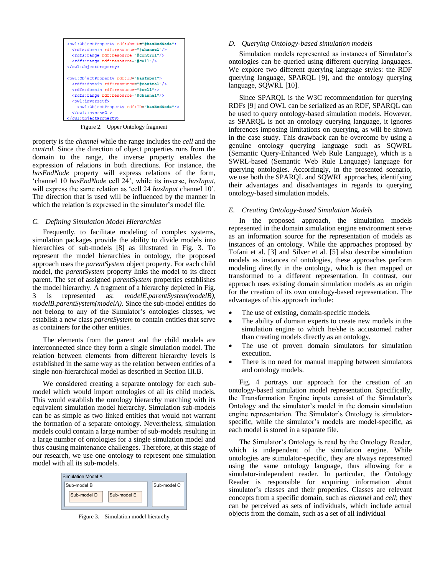```
<owl:ObjectProperty rdf:about="#hasEndNode">
  <rdfs:domain rdf:resource="#channel"/>
  <rdfs:range_rdf:resource="#control"/>
  <rdfs:range rdf:resource="#cell"/>
</owl:ObjectProperty>
<owl:ObjectProperty rdf:ID="hasInput">
 <rdfs:domain rdf:resource="#control"/>
  <rdfs:domain rdf:resource="#cell"/>
  <rdfs:range_rdf:resource="#channel"/>
  <owl:inverseOf>
    <owl:ObjectProperty rdf:ID="hasEndNode"/>
  </owl:inverseOf>
 /owl:ObjectPropert
```
Figure 2. Upper Ontology fragment

property is the *channel* while the range includes the *cell* and the *control.* Since the direction of object properties runs from the domain to the range, the inverse property enables the expression of relations in both directions. For instance, the *hasEndNode* property will express relations of the form, 'channel 10 *hasEndNode* cell 24', while its inverse, *hasInput*, will express the same relation as 'cell 24 *hasInput* channel 10'. The direction that is used will be influenced by the manner in which the relation is expressed in the simulator's model file.

# *C. Defining Simulation Model Hierarchies*

Frequently, to facilitate modeling of complex systems, simulation packages provide the ability to divide models into hierarchies of sub-models [8] as illustrated in Fig. 3. To represent the model hierarchies in ontology, the proposed approach uses the *parentSystem* object property. For each child model, the *parentSystem* property links the model to its direct parent. The set of assigned *parentSystem* properties establishes the model hierarchy. A fragment of a hierarchy depicted in Fig. 3 is represented as: *modelE.parentSystem(modelB)*, *modelB.parentSystem(modelA).* Since the sub-model entities do not belong to any of the Simulator's ontologies classes, we establish a new class *parentSystem* to contain entities that serve as containers for the other entities.

The elements from the parent and the child models are interconnected since they form a single simulation model. The relation between elements from different hierarchy levels is established in the same way as the relation between entities of a single non-hierarchical model as described in Section III.B.

We considered creating a separate ontology for each submodel which would import ontologies of all its child models. This would establish the ontology hierarchy matching with its equivalent simulation model hierarchy. Simulation sub-models can be as simple as two linked entities that would not warrant the formation of a separate ontology. Nevertheless, simulation models could contain a large number of sub-models resulting in a large number of ontologies for a single simulation model and thus causing maintenance challenges. Therefore, at this stage of our research, we use one ontology to represent one simulation model with all its sub-models.



Figure 3. Simulation model hierarchy

## *D. Querying Ontology-based simulation models*

Simulation models represented as instances of Simulator's ontologies can be queried using different querying languages. We explore two different querying language styles: the RDF querying language, SPARQL [9], and the ontology querying language, SQWRL [10].

Since SPARQL is the W3C recommendation for querying RDFs [9] and OWL can be serialized as an RDF, SPARQL can be used to query ontology-based simulation models. However, as SPARQL is not an ontology querying language, it ignores inferences imposing limitations on querying, as will be shown in the case study. This drawback can be overcome by using a genuine ontology querying language such as SQWRL (Semantic Query-Enhanced Web Rule Language), which is a SWRL-based (Semantic Web Rule Language) language for querying ontologies. Accordingly, in the presented scenario, we use both the SPARQL and SQWRL approaches, identifying their advantages and disadvantages in regards to querying ontology-based simulation models.

### *E. Creating Ontology-based Simulation Models*

In the proposed approach, the simulation models represented in the domain simulation engine environment serve as an information source for the representation of models as instances of an ontology. While the approaches proposed by Tofani et al. [3] and Silver et al. [5] also describe simulation models as instances of ontologies, these approaches perform modeling directly in the ontology, which is then mapped or transformed to a different representation. In contrast, our approach uses existing domain simulation models as an origin for the creation of its own ontology-based representation. The advantages of this approach include:

- The use of existing, domain-specific models.
- The ability of domain experts to create new models in the simulation engine to which he/she is accustomed rather than creating models directly as an ontology.
- The use of proven domain simulators for simulation execution.
- There is no need for manual mapping between simulators and ontology models.

Fig. 4 portrays our approach for the creation of an ontology-based simulation model representation. Specifically, the Transformation Engine inputs consist of the Simulator's Ontology and the simulator's model in the domain simulation engine representation. The Simulator's Ontology is simulatorspecific, while the simulator's models are model-specific, as each model is stored in a separate file.

The Simulator's Ontology is read by the Ontology Reader, which is independent of the simulation engine. While ontologies are stimulator-specific, they are always represented using the same ontology language, thus allowing for a simulator-independent reader. In particular, the Ontology Reader is responsible for acquiring information about simulator's classes and their properties. Classes are relevant concepts from a specific domain, such as *channel* and *cell*; they can be perceived as sets of individuals, which include actual objects from the domain, such as a set of all individual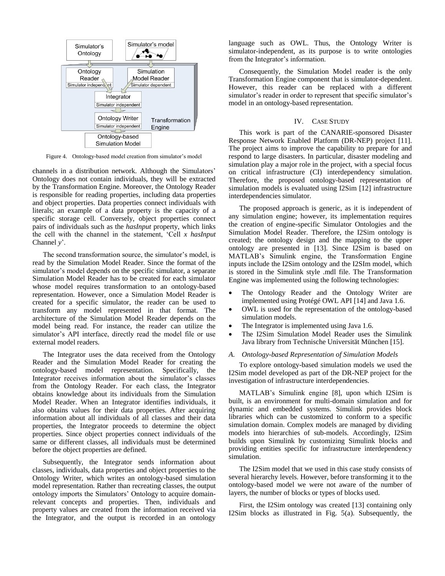

Figure 4. Ontology-based model creation from simulator's model

channels in a distribution network. Although the Simulators' Ontology does not contain individuals, they will be extracted by the Transformation Engine. Moreover, the Ontology Reader is responsible for reading properties, including data properties and object properties. Data properties connect individuals with literals; an example of a data property is the capacity of a specific storage cell. Conversely, object properties connect pairs of individuals such as the *hasInput* property, which links the cell with the channel in the statement, 'Cell *x hasInput* Channel *y*'.

The second transformation source, the simulator's model, is read by the Simulation Model Reader. Since the format of the simulator's model depends on the specific simulator, a separate Simulation Model Reader has to be created for each simulator whose model requires transformation to an ontology-based representation. However, once a Simulation Model Reader is created for a specific simulator, the reader can be used to transform any model represented in that format. The architecture of the Simulation Model Reader depends on the model being read. For instance, the reader can utilize the simulator's API interface, directly read the model file or use external model readers.

The Integrator uses the data received from the Ontology Reader and the Simulation Model Reader for creating the ontology-based model representation. Specifically, the Integrator receives information about the simulator's classes from the Ontology Reader. For each class, the Integrator obtains knowledge about its individuals from the Simulation Model Reader. When an Integrator identifies individuals, it also obtains values for their data properties. After acquiring information about all individuals of all classes and their data properties, the Integrator proceeds to determine the object properties. Since object properties connect individuals of the same or different classes, all individuals must be determined before the object properties are defined.

Subsequently, the Integrator sends information about classes, individuals, data properties and object properties to the Ontology Writer, which writes an ontology-based simulation model representation. Rather than recreating classes, the output ontology imports the Simulators' Ontology to acquire domainrelevant concepts and properties. Then, individuals and property values are created from the information received via the Integrator, and the output is recorded in an ontology

language such as OWL. Thus, the Ontology Writer is simulator-independent, as its purpose is to write ontologies from the Integrator's information.

Consequently, the Simulation Model reader is the only Transformation Engine component that is simulator-dependent. However, this reader can be replaced with a different simulator's reader in order to represent that specific simulator's model in an ontology-based representation.

# IV. CASE STUDY

This work is part of the CANARIE-sponsored Disaster Response Network Enabled Platform (DR-NEP) project [11]. The project aims to improve the capability to prepare for and respond to large disasters. In particular, disaster modeling and simulation play a major role in the project, with a special focus on critical infrastructure (CI) interdependency simulation. Therefore, the proposed ontology-based representation of simulation models is evaluated using I2Sim [12] infrastructure interdependencies simulator.

The proposed approach is generic, as it is independent of any simulation engine; however, its implementation requires the creation of engine-specific Simulator Ontologies and the Simulation Model Reader. Therefore, the I2Sim ontology is created; the ontology design and the mapping to the upper ontology are presented in [13]. Since I2Sim is based on MATLAB's Simulink engine, the Transformation Engine inputs include the I2Sim ontology and the I2SIm model, which is stored in the Simulink style .mdl file. The Transformation Engine was implemented using the following technologies:

- The Ontology Reader and the Ontology Writer are implemented using Protégé OWL API [14] and Java 1.6.
- OWL is used for the representation of the ontology-based simulation models.
- The Integrator is implemented using Java 1.6.
- The I2Sim Simulation Model Reader uses the Simulink Java library from Technische Universität München [15].

#### *A. Ontology-based Representation of Simulation Models*

To explore ontology-based simulation models we used the I2Sim model developed as part of the DR-NEP project for the investigation of infrastructure interdependencies.

MATLAB's Simulink engine [8], upon which I2Sim is built, is an environment for multi-domain simulation and for dynamic and embedded systems. Simulink provides block libraries which can be customized to conform to a specific simulation domain. Complex models are managed by dividing models into hierarchies of sub-models. Accordingly, I2Sim builds upon Simulink by customizing Simulink blocks and providing entities specific for infrastructure interdependency simulation.

The I2Sim model that we used in this case study consists of several hierarchy levels. However, before transforming it to the ontology-based model we were not aware of the number of layers, the number of blocks or types of blocks used.

First, the I2Sim ontology was created [13] containing only I2Sim blocks as illustrated in Fig. 5(a). Subsequently, the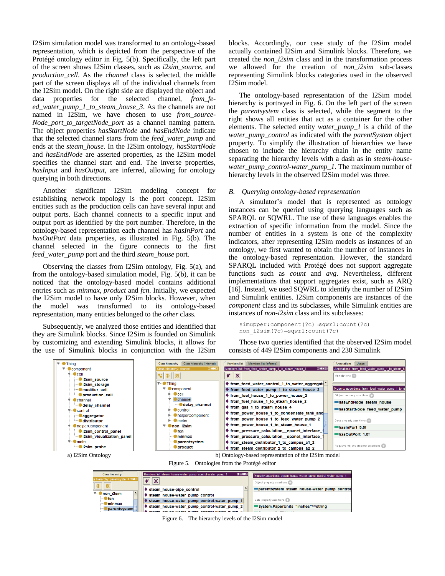I2Sim simulation model was transformed to an ontology-based representation, which is depicted from the perspective of the Protégé ontology editor in Fig. 5(b). Specifically, the left part of the screen shows I2Sim classes, such as *i2sim\_source*, and *production\_cell*. As the *channel* class is selected, the middle part of the screen displays all of the individual channels from the I2Sim model. On the right side are displayed the object and data properties for the selected channel, *from\_feed\_water\_pump\_1\_to\_steam\_house\_3*. As the channels are not named in I2Sim, we have chosen to use *from\_source-Node\_port\_to\_targetNode\_port* as a channel naming pattern. The object properties *hasStartNode* and *hasEndNode* indicate that the selected channel starts from the *feed\_water\_pump* and ends at the *steam\_house*. In the I2Sim ontology, *hasStartNode* and *hasEndNode* are asserted properties, as the I2Sim model specifies the channel start and end. The inverse properties, *hasInput* and *hasOutput*, are inferred, allowing for ontology querying in both directions.

Another significant I2Sim modeling concept for establishing network topology is the port concept. I2Sim entities such as the production cells can have several input and output ports. Each channel connects to a specific input and output port as identified by the port number. Therefore, in the ontology-based representation each channel has *hasInPort* and *hasOutPort* data properties, as illustrated in Fig. 5(b). The channel selected in the figure connects to the first *feed\_water\_pump* port and the third *steam\_house* port.

Observing the classes from I2Sim ontology, Fig. 5(a), and from the ontology-based simulation model, Fig. 5(b), it can be noticed that the ontology-based model contains additional entries such as *minmax*, *product* and *fcn*. Initially, we expected the I2Sim model to have only I2Sim blocks. However, when the model was transformed to its ontology-based representation, many entities belonged to the *other* class.

Subsequently, we analyzed those entities and identified that they are Simulink blocks. Since I2Sim is founded on Simulink by customizing and extending Simulink blocks, it allows for the use of Simulink blocks in conjunction with the I2Sim

parentsy

blocks. Accordingly, our case study of the I2Sim model actually contained I2Sim and Simulink blocks. Therefore, we created the *non\_i2sim* class and in the transformation process we allowed for the creation of *non* i2sim sub-classes representing Simulink blocks categories used in the observed I2Sim model.

The ontology-based representation of the I2Sim model hierarchy is portrayed in Fig. 6. On the left part of the screen the *parentsystem* class is selected, while the segment to the right shows all entities that act as a container for the other elements. The selected entity *water\_pump\_1* is a child of the *water\_pump\_control* as indicated with the *parentSystem* object property. To simplify the illustration of hierarchies we have chosen to include the hierarchy chain in the entity name separating the hierarchy levels with a dash as in *steam-housewater\_pump\_control-water\_pump\_1*. The maximum number of hierarchy levels in the observed I2Sim model was three.

# *B. Querying ontology-based representation*

A simulator's model that is represented as ontology instances can be queried using querying languages such as SPARQL or SQWRL. The use of these languages enables the extraction of specific information from the model. Since the number of entities in a system is one of the complexity indicators, after representing I2Sim models as instances of an ontology, we first wanted to obtain the number of instances in the ontology-based representation. However, the standard SPARQL included with Protégé does not support aggregate functions such as *count* and *avg*. Nevertheless, different implementations that support aggregates exist, such as ARQ [16]. Instead, we used SQWRL to identify the number of I2Sim and Simulink entities. I2Sim components are instances of the *component* class and its subclasses, while Simulink entities are instances of *non-i2sim* class and its subclasses:

```
simupper:component(?c)→sqwrl:count(?c)
non_i2sim(?c)→sqwrl:count(?c)
```
System.PaperUnits "inches"^^string

Those two queries identified that the observed I2Sim model consists of 449 I2Sim components and 230 Simulink



Figure 6. The hierarchy levels of the I2Sim model

♦ steam\_house-water\_pump\_control-water\_pump\_2